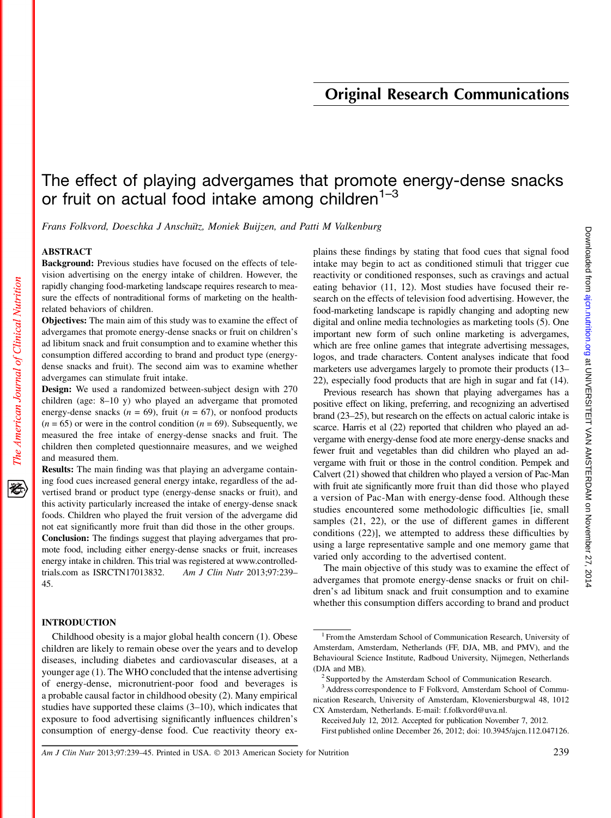# The effect of playing advergames that promote energy-dense snacks or fruit on actual food intake among children<sup>1-3</sup>

Frans Folkvord, Doeschka J Anschütz, Moniek Buijzen, and Patti M Valkenburg

# ABSTRACT

Background: Previous studies have focused on the effects of television advertising on the energy intake of children. However, the rapidly changing food-marketing landscape requires research to measure the effects of nontraditional forms of marketing on the healthrelated behaviors of children.

Objectives: The main aim of this study was to examine the effect of advergames that promote energy-dense snacks or fruit on children's ad libitum snack and fruit consumption and to examine whether this consumption differed according to brand and product type (energydense snacks and fruit). The second aim was to examine whether advergames can stimulate fruit intake.

Design: We used a randomized between-subject design with 270 children (age: 8–10 y) who played an advergame that promoted energy-dense snacks ( $n = 69$ ), fruit ( $n = 67$ ), or nonfood products  $(n = 65)$  or were in the control condition  $(n = 69)$ . Subsequently, we measured the free intake of energy-dense snacks and fruit. The children then completed questionnaire measures, and we weighed and measured them.

Results: The main finding was that playing an advergame containing food cues increased general energy intake, regardless of the advertised brand or product type (energy-dense snacks or fruit), and this activity particularly increased the intake of energy-dense snack foods. Children who played the fruit version of the advergame did not eat significantly more fruit than did those in the other groups. Conclusion: The findings suggest that playing advergames that promote food, including either energy-dense snacks or fruit, increases energy intake in children. This trial was registered at www.controlledtrials.com as ISRCTN17013832. Am J Clin Nutr 2013;97:239– 45.

# INTRODUCTION

Childhood obesity is a major global health concern (1). Obese children are likely to remain obese over the years and to develop diseases, including diabetes and cardiovascular diseases, at a younger age (1). The WHO concluded that the intense advertising of energy-dense, micronutrient-poor food and beverages is a probable causal factor in childhood obesity (2). Many empirical studies have supported these claims (3–10), which indicates that exposure to food advertising significantly influences children's consumption of energy-dense food. Cue reactivity theory explains these findings by stating that food cues that signal food intake may begin to act as conditioned stimuli that trigger cue reactivity or conditioned responses, such as cravings and actual eating behavior (11, 12). Most studies have focused their research on the effects of television food advertising. However, the food-marketing landscape is rapidly changing and adopting new digital and online media technologies as marketing tools (5). One important new form of such online marketing is advergames, which are free online games that integrate advertising messages, logos, and trade characters. Content analyses indicate that food marketers use advergames largely to promote their products (13– 22), especially food products that are high in sugar and fat (14).

Previous research has shown that playing advergames has a positive effect on liking, preferring, and recognizing an advertised brand (23–25), but research on the effects on actual caloric intake is scarce. Harris et al (22) reported that children who played an advergame with energy-dense food ate more energy-dense snacks and fewer fruit and vegetables than did children who played an advergame with fruit or those in the control condition. Pempek and Calvert (21) showed that children who played a version of Pac-Man with fruit ate significantly more fruit than did those who played a version of Pac-Man with energy-dense food. Although these studies encountered some methodologic difficulties [ie, small samples (21, 22), or the use of different games in different conditions (22)], we attempted to address these difficulties by using a large representative sample and one memory game that varied only according to the advertised content.

The main objective of this study was to examine the effect of advergames that promote energy-dense snacks or fruit on children's ad libitum snack and fruit consumption and to examine whether this consumption differs according to brand and product

移

<sup>1</sup> From the Amsterdam School of Communication Research, University of Amsterdam, Amsterdam, Netherlands (FF, DJA, MB, and PMV), and the Behavioural Science Institute, Radboud University, Nijmegen, Netherlands (DJA and MB). <sup>2</sup> Supported by the Amsterdam School of Communication Research.

<sup>3</sup> Address correspondence to F Folkvord, Amsterdam School of Communication Research, University of Amsterdam, Kloveniersburgwal 48, 1012 CX Amsterdam, Netherlands. E-mail: f.folkvord@uva.nl.

Received July 12, 2012. Accepted for publication November 7, 2012.

First published online December 26, 2012; doi: 10.3945/ajcn.112.047126.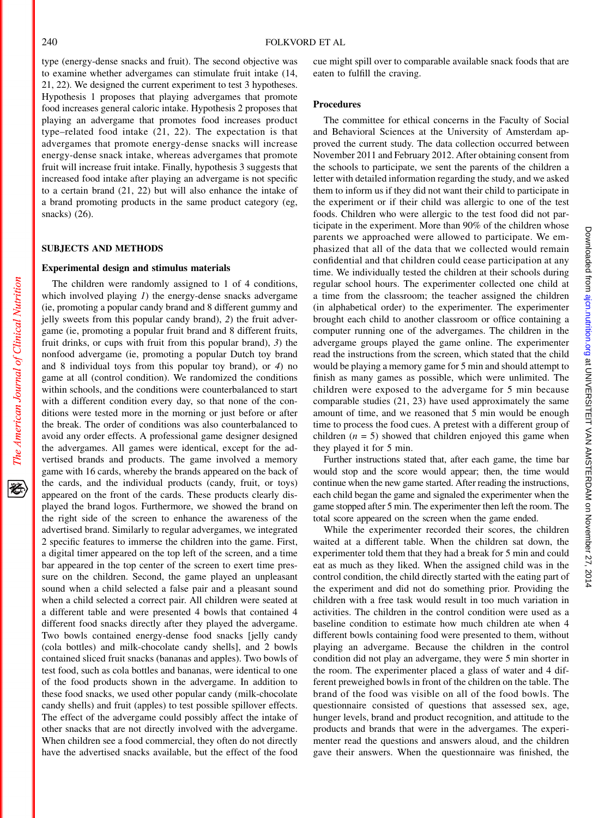The American Journal of Clinical Nutrition

经

type (energy-dense snacks and fruit). The second objective was to examine whether advergames can stimulate fruit intake (14, 21, 22). We designed the current experiment to test 3 hypotheses. Hypothesis 1 proposes that playing advergames that promote food increases general caloric intake. Hypothesis 2 proposes that playing an advergame that promotes food increases product type–related food intake (21, 22). The expectation is that advergames that promote energy-dense snacks will increase energy-dense snack intake, whereas advergames that promote fruit will increase fruit intake. Finally, hypothesis 3 suggests that increased food intake after playing an advergame is not specific to a certain brand (21, 22) but will also enhance the intake of a brand promoting products in the same product category (eg, snacks) (26).

## SUBJECTS AND METHODS

## Experimental design and stimulus materials

The children were randomly assigned to 1 of 4 conditions, which involved playing  $I$ ) the energy-dense snacks advergame (ie, promoting a popular candy brand and 8 different gummy and jelly sweets from this popular candy brand), 2) the fruit advergame (ie, promoting a popular fruit brand and 8 different fruits, fruit drinks, or cups with fruit from this popular brand), 3) the nonfood advergame (ie, promoting a popular Dutch toy brand and 8 individual toys from this popular toy brand), or 4) no game at all (control condition). We randomized the conditions within schools, and the conditions were counterbalanced to start with a different condition every day, so that none of the conditions were tested more in the morning or just before or after the break. The order of conditions was also counterbalanced to avoid any order effects. A professional game designer designed the advergames. All games were identical, except for the advertised brands and products. The game involved a memory game with 16 cards, whereby the brands appeared on the back of the cards, and the individual products (candy, fruit, or toys) appeared on the front of the cards. These products clearly displayed the brand logos. Furthermore, we showed the brand on the right side of the screen to enhance the awareness of the advertised brand. Similarly to regular advergames, we integrated 2 specific features to immerse the children into the game. First, a digital timer appeared on the top left of the screen, and a time bar appeared in the top center of the screen to exert time pressure on the children. Second, the game played an unpleasant sound when a child selected a false pair and a pleasant sound when a child selected a correct pair. All children were seated at a different table and were presented 4 bowls that contained 4 different food snacks directly after they played the advergame. Two bowls contained energy-dense food snacks [jelly candy (cola bottles) and milk-chocolate candy shells], and 2 bowls contained sliced fruit snacks (bananas and apples). Two bowls of test food, such as cola bottles and bananas, were identical to one of the food products shown in the advergame. In addition to these food snacks, we used other popular candy (milk-chocolate candy shells) and fruit (apples) to test possible spillover effects. The effect of the advergame could possibly affect the intake of other snacks that are not directly involved with the advergame. When children see a food commercial, they often do not directly have the advertised snacks available, but the effect of the food

cue might spill over to comparable available snack foods that are eaten to fulfill the craving.

# **Procedures**

The committee for ethical concerns in the Faculty of Social and Behavioral Sciences at the University of Amsterdam approved the current study. The data collection occurred between November 2011 and February 2012. After obtaining consent from the schools to participate, we sent the parents of the children a letter with detailed information regarding the study, and we asked them to inform us if they did not want their child to participate in the experiment or if their child was allergic to one of the test foods. Children who were allergic to the test food did not participate in the experiment. More than 90% of the children whose parents we approached were allowed to participate. We emphasized that all of the data that we collected would remain confidential and that children could cease participation at any time. We individually tested the children at their schools during regular school hours. The experimenter collected one child at a time from the classroom; the teacher assigned the children (in alphabetical order) to the experimenter. The experimenter brought each child to another classroom or office containing a computer running one of the advergames. The children in the advergame groups played the game online. The experimenter read the instructions from the screen, which stated that the child would be playing a memory game for 5 min and should attempt to finish as many games as possible, which were unlimited. The children were exposed to the advergame for 5 min because comparable studies (21, 23) have used approximately the same amount of time, and we reasoned that 5 min would be enough time to process the food cues. A pretest with a different group of children  $(n = 5)$  showed that children enjoyed this game when they played it for 5 min.

Further instructions stated that, after each game, the time bar would stop and the score would appear; then, the time would continue when the new game started. After reading the instructions, each child began the game and signaled the experimenter when the game stopped after 5 min. The experimenter then left the room. The total score appeared on the screen when the game ended.

While the experimenter recorded their scores, the children waited at a different table. When the children sat down, the experimenter told them that they had a break for 5 min and could eat as much as they liked. When the assigned child was in the control condition, the child directly started with the eating part of the experiment and did not do something prior. Providing the children with a free task would result in too much variation in activities. The children in the control condition were used as a baseline condition to estimate how much children ate when 4 different bowls containing food were presented to them, without playing an advergame. Because the children in the control condition did not play an advergame, they were 5 min shorter in the room. The experimenter placed a glass of water and 4 different preweighed bowls in front of the children on the table. The brand of the food was visible on all of the food bowls. The questionnaire consisted of questions that assessed sex, age, hunger levels, brand and product recognition, and attitude to the products and brands that were in the advergames. The experimenter read the questions and answers aloud, and the children gave their answers. When the questionnaire was finished, the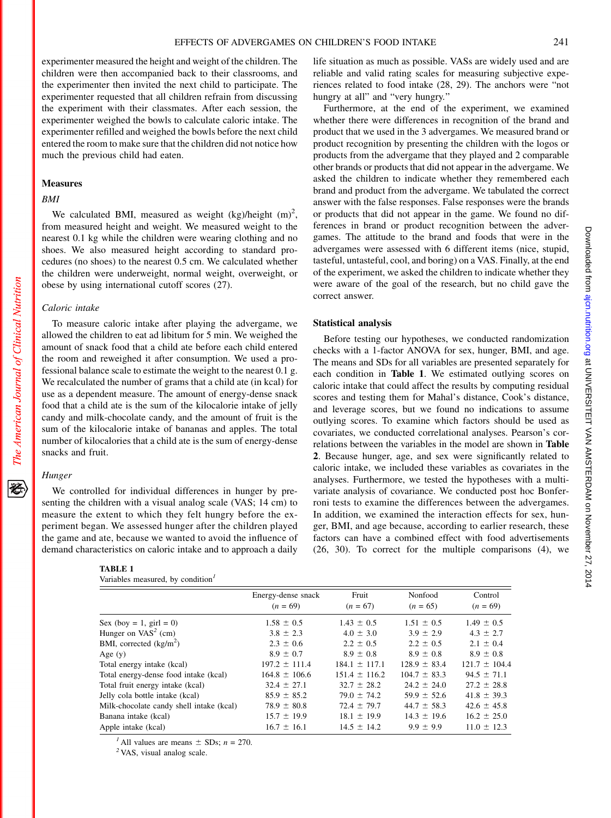experimenter measured the height and weight of the children. The children were then accompanied back to their classrooms, and the experimenter then invited the next child to participate. The experimenter requested that all children refrain from discussing the experiment with their classmates. After each session, the experimenter weighed the bowls to calculate caloric intake. The experimenter refilled and weighed the bowls before the next child entered the room to make sure that the children did not notice how much the previous child had eaten.

## Measures

# BMI

We calculated BMI, measured as weight  $(kg)/height$  (m)<sup>2</sup>, from measured height and weight. We measured weight to the nearest 0.1 kg while the children were wearing clothing and no shoes. We also measured height according to standard procedures (no shoes) to the nearest 0.5 cm. We calculated whether the children were underweight, normal weight, overweight, or obese by using international cutoff scores (27).

#### Caloric intake

To measure caloric intake after playing the advergame, we allowed the children to eat ad libitum for 5 min. We weighed the amount of snack food that a child ate before each child entered the room and reweighed it after consumption. We used a professional balance scale to estimate the weight to the nearest 0.1 g. We recalculated the number of grams that a child ate (in kcal) for use as a dependent measure. The amount of energy-dense snack food that a child ate is the sum of the kilocalorie intake of jelly candy and milk-chocolate candy, and the amount of fruit is the sum of the kilocalorie intake of bananas and apples. The total number of kilocalories that a child ate is the sum of energy-dense snacks and fruit.

# Hunger

We controlled for individual differences in hunger by presenting the children with a visual analog scale (VAS; 14 cm) to measure the extent to which they felt hungry before the experiment began. We assessed hunger after the children played the game and ate, because we wanted to avoid the influence of demand characteristics on caloric intake and to approach a daily

## TABLE 1

Variables measured, by condition<sup>1</sup>

life situation as much as possible. VASs are widely used and are reliable and valid rating scales for measuring subjective experiences related to food intake (28, 29). The anchors were "not hungry at all" and "very hungry."

Furthermore, at the end of the experiment, we examined whether there were differences in recognition of the brand and product that we used in the 3 advergames. We measured brand or product recognition by presenting the children with the logos or products from the advergame that they played and 2 comparable other brands or products that did not appear in the advergame. We asked the children to indicate whether they remembered each brand and product from the advergame. We tabulated the correct answer with the false responses. False responses were the brands or products that did not appear in the game. We found no differences in brand or product recognition between the advergames. The attitude to the brand and foods that were in the advergames were assessed with 6 different items (nice, stupid, tasteful, untasteful, cool, and boring) on a VAS. Finally, at the end of the experiment, we asked the children to indicate whether they were aware of the goal of the research, but no child gave the correct answer.

## Statistical analysis

Before testing our hypotheses, we conducted randomization checks with a 1-factor ANOVA for sex, hunger, BMI, and age. The means and SDs for all variables are presented separately for each condition in Table 1. We estimated outlying scores on caloric intake that could affect the results by computing residual scores and testing them for Mahal's distance, Cook's distance, and leverage scores, but we found no indications to assume outlying scores. To examine which factors should be used as covariates, we conducted correlational analyses. Pearson's correlations between the variables in the model are shown in Table 2. Because hunger, age, and sex were significantly related to caloric intake, we included these variables as covariates in the analyses. Furthermore, we tested the hypotheses with a multivariate analysis of covariance. We conducted post hoc Bonferroni tests to examine the differences between the advergames. In addition, we examined the interaction effects for sex, hunger, BMI, and age because, according to earlier research, these factors can have a combined effect with food advertisements (26, 30). To correct for the multiple comparisons (4), we

| variables incasured, by condition        |                                  |                     |                       |                       |
|------------------------------------------|----------------------------------|---------------------|-----------------------|-----------------------|
|                                          | Energy-dense snack<br>$(n = 69)$ | Fruit<br>$(n = 67)$ | Nonfood<br>$(n = 65)$ | Control<br>$(n = 69)$ |
| Sex (boy = 1, girl = 0)                  | $1.58 \pm 0.5$                   | $1.43 \pm 0.5$      | $1.51 \pm 0.5$        | $1.49 \pm 0.5$        |
| Hunger on $VAS2$ (cm)                    | $3.8 \pm 2.3$                    | $4.0 \pm 3.0$       | $3.9 \pm 2.9$         | $4.3 \pm 2.7$         |
| BMI, corrected $(kg/m^2)$                | $2.3 \pm 0.6$                    | $2.2 \pm 0.5$       | $2.2 \pm 0.5$         | $2.1 \pm 0.4$         |
| Age $(y)$                                | $8.9 \pm 0.7$                    | $8.9 \pm 0.8$       | $8.9 \pm 0.8$         | $8.9 \pm 0.8$         |
| Total energy intake (kcal)               | $197.2 \pm 111.4$                | $184.1 \pm 117.1$   | $128.9 \pm 83.4$      | $121.7 \pm 104.4$     |
| Total energy-dense food intake (kcal)    | $164.8 \pm 106.6$                | $151.4 \pm 116.2$   | $104.7 \pm 83.3$      | $94.5 \pm 71.1$       |
| Total fruit energy intake (kcal)         | $32.4 \pm 27.1$                  | $32.7 \pm 28.2$     | $24.2 \pm 24.0$       | $27.2 \pm 28.8$       |
| Jelly cola bottle intake (kcal)          | $85.9 \pm 85.2$                  | $79.0 \pm 74.2$     | $59.9 \pm 52.6$       | $41.8 \pm 39.3$       |
| Milk-chocolate candy shell intake (kcal) | $78.9 \pm 80.8$                  | $72.4 \pm 79.7$     | $44.7 \pm 58.3$       | $42.6 \pm 45.8$       |
| Banana intake (kcal)                     | $15.7 \pm 19.9$                  | $18.1 \pm 19.9$     | $14.3 \pm 19.6$       | $16.2 \pm 25.0$       |
| Apple intake (kcal)                      | $16.7 \pm 16.1$                  | $14.5 \pm 14.2$     | $9.9 \pm 9.9$         | $11.0 \pm 12.3$       |
|                                          |                                  |                     |                       |                       |

<sup>1</sup> All values are means  $\pm$  SDs; *n* = 270.<br><sup>2</sup> VAS, visual analog scale.

经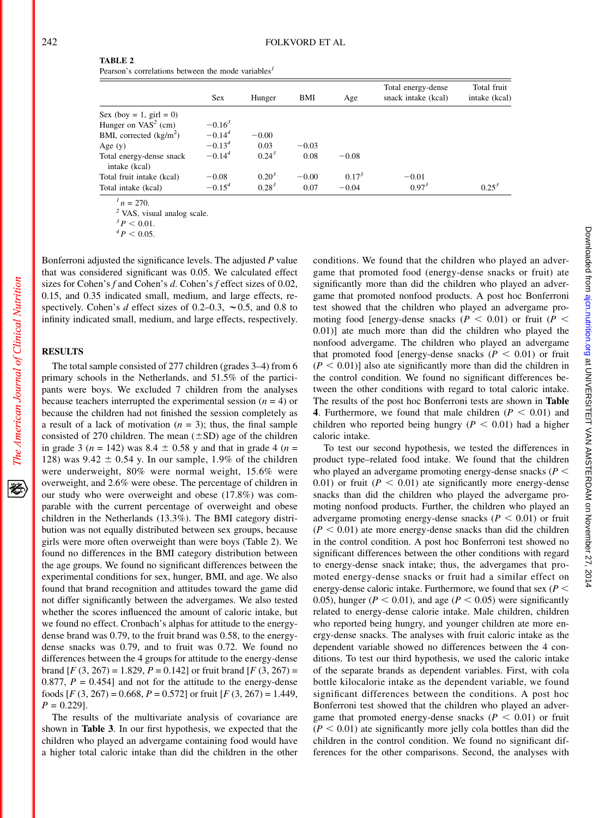| TABLE 2                                                        |  |  |  |
|----------------------------------------------------------------|--|--|--|
| Pearson's correlations between the mode variables <sup>1</sup> |  |  |  |

|                                           | <b>Sex</b>  | Hunger     | BMI     | Age        | Total energy-dense<br>snack intake (kcal) | Total fruit<br>intake (kcal) |
|-------------------------------------------|-------------|------------|---------|------------|-------------------------------------------|------------------------------|
| Sex (boy = 1, girl = 0)                   |             |            |         |            |                                           |                              |
| Hunger on $VAS2$ (cm)                     | $-0.16^3$   |            |         |            |                                           |                              |
| BMI, corrected $(kg/m2)$                  | $-0.14^{4}$ | $-0.00$    |         |            |                                           |                              |
| Age $(y)$                                 | $-0.13^{4}$ | 0.03       | $-0.03$ |            |                                           |                              |
| Total energy-dense snack<br>intake (kcal) | $-0.14^{4}$ | $0.24^{3}$ | 0.08    | $-0.08$    |                                           |                              |
| Total fruit intake (kcal)                 | $-0.08$     | $0.20^{3}$ | $-0.00$ | $0.17^{3}$ | $-0.01$                                   |                              |
| Total intake (kcal)                       | $-0.15^{4}$ | $0.28^{3}$ | 0.07    | $-0.04$    | $0.97^{3}$                                | $0.25^3$                     |

 $\frac{1}{2}$  n = 270.<br><sup>2</sup> VAS, visual analog scale.

 $\frac{3}{4}P < 0.01.$ <br>  $\frac{4}{9}P < 0.05.$ 

Bonferroni adjusted the significance levels. The adjusted P value that was considered significant was 0.05. We calculated effect sizes for Cohen's f and Cohen's d. Cohen's f effect sizes of 0.02, 0.15, and 0.35 indicated small, medium, and large effects, respectively. Cohen's d effect sizes of 0.2–0.3,  $\sim$  0.5, and 0.8 to infinity indicated small, medium, and large effects, respectively.

# RESULTS

The American Journal of Clinical Nutrition

经

The total sample consisted of 277 children (grades 3–4) from 6 primary schools in the Netherlands, and 51.5% of the participants were boys. We excluded 7 children from the analyses because teachers interrupted the experimental session  $(n = 4)$  or because the children had not finished the session completely as a result of a lack of motivation  $(n = 3)$ ; thus, the final sample consisted of 270 children. The mean  $(\pm SD)$  age of the children in grade 3 ( $n = 142$ ) was 8.4  $\pm$  0.58 y and that in grade 4 ( $n =$ 128) was  $9.42 \pm 0.54$  y. In our sample, 1.9% of the children were underweight, 80% were normal weight, 15.6% were overweight, and 2.6% were obese. The percentage of children in our study who were overweight and obese (17.8%) was comparable with the current percentage of overweight and obese children in the Netherlands (13.3%). The BMI category distribution was not equally distributed between sex groups, because girls were more often overweight than were boys (Table 2). We found no differences in the BMI category distribution between the age groups. We found no significant differences between the experimental conditions for sex, hunger, BMI, and age. We also found that brand recognition and attitudes toward the game did not differ significantly between the advergames. We also tested whether the scores influenced the amount of caloric intake, but we found no effect. Cronbach's alphas for attitude to the energydense brand was 0.79, to the fruit brand was 0.58, to the energydense snacks was 0.79, and to fruit was 0.72. We found no differences between the 4 groups for attitude to the energy-dense brand  $[F (3, 267) = 1.829, P = 0.142]$  or fruit brand  $[F (3, 267) =$ 0.877,  $P = 0.454$ ] and not for the attitude to the energy-dense foods  $[F(3, 267) = 0.668, P = 0.572]$  or fruit  $[F(3, 267) = 1.449,$  $P = 0.229$ ].

The results of the multivariate analysis of covariance are shown in Table 3. In our first hypothesis, we expected that the children who played an advergame containing food would have a higher total caloric intake than did the children in the other

conditions. We found that the children who played an advergame that promoted food (energy-dense snacks or fruit) ate significantly more than did the children who played an advergame that promoted nonfood products. A post hoc Bonferroni test showed that the children who played an advergame promoting food [energy-dense snacks ( $P < 0.01$ ) or fruit ( $P <$ 0.01)] ate much more than did the children who played the nonfood advergame. The children who played an advergame that promoted food [energy-dense snacks  $(P < 0.01)$  or fruit  $(P < 0.01)$ ] also ate significantly more than did the children in the control condition. We found no significant differences between the other conditions with regard to total caloric intake. The results of the post hoc Bonferroni tests are shown in Table 4. Furthermore, we found that male children  $(P < 0.01)$  and children who reported being hungry ( $P < 0.01$ ) had a higher caloric intake.

To test our second hypothesis, we tested the differences in product type–related food intake. We found that the children who played an advergame promoting energy-dense snacks ( $P \le$ 0.01) or fruit ( $P < 0.01$ ) ate significantly more energy-dense snacks than did the children who played the advergame promoting nonfood products. Further, the children who played an advergame promoting energy-dense snacks ( $P < 0.01$ ) or fruit  $(P < 0.01)$  ate more energy-dense snacks than did the children in the control condition. A post hoc Bonferroni test showed no significant differences between the other conditions with regard to energy-dense snack intake; thus, the advergames that promoted energy-dense snacks or fruit had a similar effect on energy-dense caloric intake. Furthermore, we found that sex ( $P \le$ 0.05), hunger ( $P < 0.01$ ), and age ( $P < 0.05$ ) were significantly related to energy-dense calorie intake. Male children, children who reported being hungry, and younger children ate more energy-dense snacks. The analyses with fruit caloric intake as the dependent variable showed no differences between the 4 conditions. To test our third hypothesis, we used the caloric intake of the separate brands as dependent variables. First, with cola bottle kilocalorie intake as the dependent variable, we found significant differences between the conditions. A post hoc Bonferroni test showed that the children who played an advergame that promoted energy-dense snacks ( $P < 0.01$ ) or fruit  $(P < 0.01)$  ate significantly more jelly cola bottles than did the children in the control condition. We found no significant differences for the other comparisons. Second, the analyses with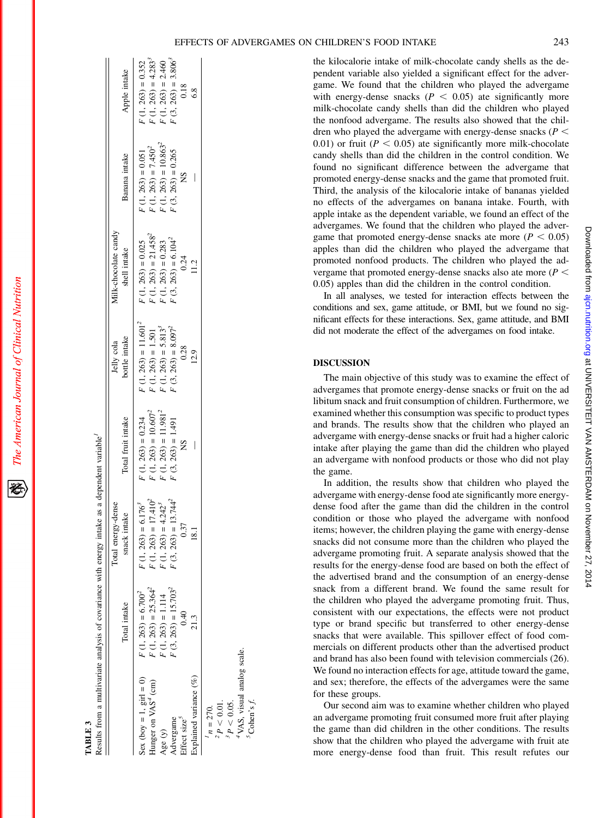the kilocalorie intake of milk-chocolate candy shells as the dependent variable also yielded a significant effect for the advergame. We found that the children who played the advergame with energy-dense snacks ( $P < 0.05$ ) ate significantly more milk-chocolate candy shells than did the children who played the nonfood advergame. The results also showed that the children who played the advergame with energy-dense snacks ( $P <$ 0.01) or fruit ( $P < 0.05$ ) ate significantly more milk-chocolate candy shells than did the children in the control condition. We found no significant difference between the advergame that promoted energy-dense snacks and the game that promoted fruit. Third, the analysis of the kilocalorie intake of bananas yielded no effects of the advergames on banana intake. Fourth, with apple intake as the dependent variable, we found an effect of the advergames. We found that the children who played the advergame that promoted energy-dense snacks ate more ( $P < 0.05$ ) apples than did the children who played the advergame that promoted nonfood products. The children who played the advergame that promoted energy-dense snacks also ate more ( $P \leq$ 0.05) apples than did the children in the control condition.

In all analyses, we tested for interaction effects between the conditions and sex, game attitude, or BMI, but we found no significant effects for these interactions. Sex, game attitude, and BMI did not moderate the effect of the advergames on food intake.

## DISCUSSION

The main objective of this study was to examine the effect of advergames that promote energy-dense snacks or fruit on the ad libitum snack and fruit consumption of children. Furthermore, we examined whether this consumption was specific to product types and brands. The results show that the children who played an advergame with energy-dense snacks or fruit had a higher caloric intake after playing the game than did the children who played an advergame with nonfood products or those who did not play the game.

In addition, the results show that children who played the advergame with energy-dense food ate significantly more energydense food after the game than did the children in the control condition or those who played the advergame with nonfood items; however, the children playing the game with energy-dense snacks did not consume more than the children who played the advergame promoting fruit. A separate analysis showed that the results for the energy-dense food are based on both the effect of the advertised brand and the consumption of an energy-dense snack from a different brand. We found the same result for the children who played the advergame promoting fruit. Thus, consistent with our expectations, the effects were not product type or brand specific but transferred to other energy-dense snacks that were available. This spillover effect of food commercials on different products other than the advertised product and brand has also been found with television commercials (26). We found no interaction effects for age, attitude toward the game, and sex; therefore, the effects of the advergames were the same for these groups.

Our second aim was to examine whether children who played an advergame promoting fruit consumed more fruit after playing the game than did children in the other conditions. The results show that the children who played the advergame with fruit ate more energy-dense food than fruit. This result refutes our

|        | c<br>c                                    |
|--------|-------------------------------------------|
|        |                                           |
|        |                                           |
|        |                                           |
|        |                                           |
|        | wariance with energy intake ar-<br>c<br>C |
|        |                                           |
|        | יים דורוים בי                             |
|        | ء<br>ه<br>a multurar                      |
|        |                                           |
|        |                                           |
| ∶      |                                           |
| i<br>F | D acu                                     |

|                                                           |                        | Total energy-dense              |                        | Jelly cola            | Milk-chocolate candy   |                        |                                                                    |
|-----------------------------------------------------------|------------------------|---------------------------------|------------------------|-----------------------|------------------------|------------------------|--------------------------------------------------------------------|
|                                                           | Total intake           | snack intake                    | Total fruit intake     | bottle intake         | shell intake           | Banana intake          | Apple intake                                                       |
| $\sec \left(\frac{\log x}{1.5}\right) = 1$ , $\sin 1 = 0$ | $F(1, 263) = 6.700^2$  | $F(1, 263) = 6.1763$            | $F(1, 263) = 0.234$    | $F(1, 263) = 11.6012$ | $F(1, 263) = 0.025$    | $F(1, 263) = 0.051$    |                                                                    |
| lunger on VAS <sup>4</sup> (cm)                           | $F(1, 263) = 25.364^2$ | $17.410^{2}$<br>$F(1, 263) = 1$ | $F(1, 263) = 10.607^2$ | $F(1, 263) = 1.501$   | $F(1, 263) = 21.458^2$ | $F(1, 263) = 7.450^2$  | $F(1, 263) = 0.352$<br>$F(1, 263) = 4.2833$<br>$F(1, 263) = 2.460$ |
| $\iota$ ge $(y)$                                          | $F(1, 263) = 1.114$    | $+.2423$<br>$F(1, 263) = 4$     | $F(1, 263) = 11.9812$  | $F(1, 263) = 5.813^3$ | $F(1, 263) = 0.283$    | $F(1, 263) = 10.863^2$ |                                                                    |
| dvergame                                                  | $F(3, 263) = 15.703^2$ | $13.744^{2}$<br>$F(3, 263) =$   | $F(3, 263) = 1.491$    | $F(3, 263) = 8.0972$  | $F(3, 263) = 6.1042$   | $F(3, 263) = 0.265$    | $F(3, 263) = 3.806^3$                                              |
| iffect size <sup>3</sup>                                  | 0.40                   | 0.37                            | ž                      | 0.28                  | 0.24                   | <b>SN</b>              | 0.18                                                               |
| xplained variance (%)                                     | 21.3                   | $\overline{181}$                |                        | 12.9                  | 11.2                   |                        | 6.8                                                                |
| $n = 270.$                                                |                        |                                 |                        |                       |                        |                        |                                                                    |
| $^{2}P$ < 0.01.                                           |                        |                                 |                        |                       |                        |                        |                                                                    |
| $P < 0.05$ .                                              |                        |                                 |                        |                       |                        |                        |                                                                    |
| VAS, visual analog scale.                                 |                        |                                 |                        |                       |                        |                        |                                                                    |

5Cohen's f.

Downloaded from ajcn.nutrition.org at UNIVERSITEIT VAN AMSTERDAM on November 27, 2014 Downloaded from algebor 27, 2014 and Downloaded from November 2014 and Downloaded from algebor 27, 2014 and Downloaded from algebor 27, 2014 and Downloaded from algebor 27, 2014 and Downloaded from algebor 27, 2014 and Dow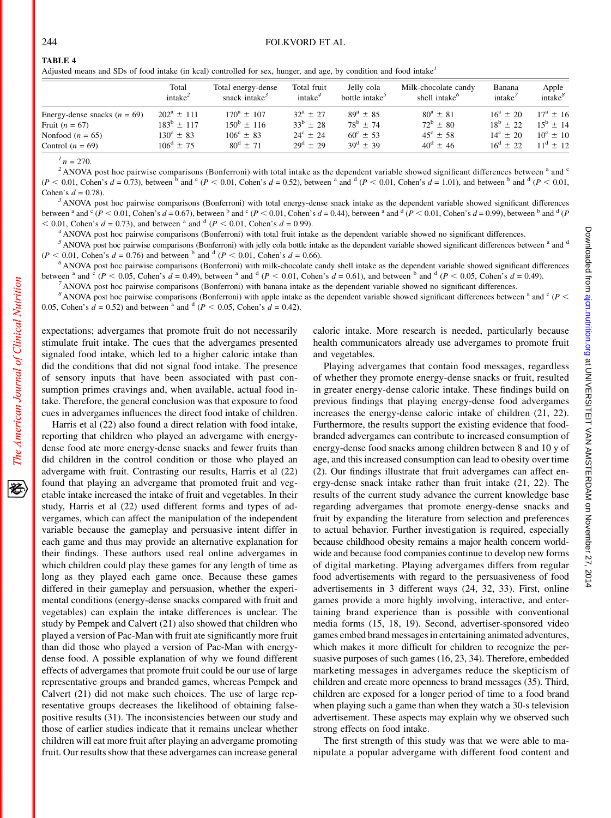|  |  |  |  | Adjusted means and SDs of food intake (in kcal) controlled for sex, hunger, and age, by condition and food intake' |  |  |  |  |  |  |
|--|--|--|--|--------------------------------------------------------------------------------------------------------------------|--|--|--|--|--|--|

|                                | Total<br>intake <sup>2</sup> | Total energy-dense<br>snack intake <sup>3</sup> | Total fruit<br>intake <sup>4</sup> | Jelly cola<br>bottle intake <sup>5</sup> | Milk-chocolate candy<br>shell intake <sup>o</sup> | Banana<br>intake <sup>'</sup> | Apple<br>intake <sup>8</sup> |
|--------------------------------|------------------------------|-------------------------------------------------|------------------------------------|------------------------------------------|---------------------------------------------------|-------------------------------|------------------------------|
| Energy-dense snacks $(n = 69)$ | $202^a \pm 111$              | $170^a \pm 107$                                 | $32^a \pm 27$                      | $89^a \pm 85$                            | $80^a \pm 81$                                     | $16^a \pm 20$                 | $17^{\rm a} \pm 16$          |
| Fruit $(n = 67)$               | $183^b \pm 117$              | $150^{\rm b} \pm 116$                           | $33^b \pm 28$                      | $78^{\rm b} \pm 74$                      | $72^b \pm 80$                                     | $18^b + 22$                   | $15^{\rm b} \pm 14$          |
| Nonfood $(n = 65)$             | $130^{\circ} \pm 83$         | $106^{\circ} \pm 83$                            | $24^c \pm 24$                      | $60^{\circ} \pm 53$                      | $45^{\circ} \pm 58$                               | $14^{\circ} \pm 20$           | $10^{\circ} \pm 10$          |
| Control $(n = 69)$             | $106^d \pm 75$               | $80^d \pm 71$                                   | $29^d + 29$                        | $30^d + 39$                              | $40^{\rm d} \pm 46$                               | $16^d + 22$                   | $11^d + 12$                  |

The American Journal of Clinical Nutrition

资

 $\binom{n}{r}$  = 270.<br><sup>2</sup> ANOVA post hoc pairwise comparisons (Bonferroni) with total intake as the dependent variable showed significant differences between <sup>a</sup> and <sup>c</sup>  $(P < 0.01$ , Cohen's  $d = 0.73$ ), between  $\frac{1}{2}$  and  $\frac{c}{P} < 0.01$ , Cohen's  $d = 0.52$ ), between  $\frac{1}{2}$  and  $\frac{d}{P} < 0.01$ , Cohen's  $d = 1.01$ ), and between  $\frac{1}{2}$  and  $\frac{d}{P} < 0.01$ , Cohen's  $d = 0.78$ ).<br><sup>3</sup> ANOVA post hoc pairwise comparisons (Bonferroni) with total energy-dense snack intake as the dependent variable showed significant differences

between <sup>a</sup> and <sup>c</sup> (P < 0.01, Cohen's d = 0.67), between <sup>b</sup> and <sup>c</sup> (P < 0.01, Cohen's d = 0.44), between <sup>a</sup> and <sup>d</sup> (P < 0.01, Cohen's d = 0.99), between <sup>b</sup> and <sup>d</sup> (P  $<$  0.01, Cohen's d = 0.73), and between <sup>a</sup> and <sup>d</sup> (P  $<$  0.01, Cohen's d = 0.99).<br><sup>4</sup> ANOVA post hoc pairwise comparisons (Bonferroni) with total fruit intake as the dependent variable showed no significant differences

 $<sup>5</sup>$  ANOVA post hoc pairwise comparisons (Bonferroni) with jelly cola bottle intake as the dependent variable showed significant differences between  $<sup>a</sup>$  and  $<sup>d</sup>$ </sup></sup></sup>

 $(P < 0.01$ , Cohen's  $d = 0.76$ ) and between  $^b$  and  $^d$  ( $P < 0.01$ , Cohen's  $d = 0.66$ ).<br><sup>6</sup> ANOVA post hoc pairwise comparisons (Bonferroni) with milk-chocolate candy shell intake as the dependent variable showed signific between <sup>a</sup> and <sup>c</sup> ( $P < 0.05$ , Cohen's  $d = 0.49$ ), between <sup>a</sup> and <sup>d</sup> ( $P < 0.01$ , Cohen's  $d = 0.61$ ), and between <sup>b</sup> and <sup>d</sup> ( $P < 0.05$ , Cohen's  $d = 0.49$ ).<br><sup>7</sup> ANOVA post hoc pairwise comparisons (Bonferroni) with ban

<sup>8</sup> ANOVA post hoc pairwise comparisons (Bonferroni) with apple intake as the dependent variable showed significant differences between <sup>a</sup> and  $\degree$  ( $P$  < 0.05, Cohen's  $d = 0.52$ ) and between <sup>a</sup> and <sup>d</sup> ( $P < 0.05$ , Cohen's  $d = 0.42$ ).

expectations; advergames that promote fruit do not necessarily stimulate fruit intake. The cues that the advergames presented signaled food intake, which led to a higher caloric intake than did the conditions that did not signal food intake. The presence of sensory inputs that have been associated with past consumption primes cravings and, when available, actual food intake. Therefore, the general conclusion was that exposure to food cues in advergames influences the direct food intake of children.

Harris et al (22) also found a direct relation with food intake, reporting that children who played an advergame with energydense food ate more energy-dense snacks and fewer fruits than did children in the control condition or those who played an advergame with fruit. Contrasting our results, Harris et al (22) found that playing an advergame that promoted fruit and vegetable intake increased the intake of fruit and vegetables. In their study, Harris et al (22) used different forms and types of advergames, which can affect the manipulation of the independent variable because the gameplay and persuasive intent differ in each game and thus may provide an alternative explanation for their findings. These authors used real online advergames in which children could play these games for any length of time as long as they played each game once. Because these games differed in their gameplay and persuasion, whether the experimental conditions (energy-dense snacks compared with fruit and vegetables) can explain the intake differences is unclear. The study by Pempek and Calvert (21) also showed that children who played a version of Pac-Man with fruit ate significantly more fruit than did those who played a version of Pac-Man with energydense food. A possible explanation of why we found different effects of advergames that promote fruit could be our use of large representative groups and branded games, whereas Pempek and Calvert (21) did not make such choices. The use of large representative groups decreases the likelihood of obtaining falsepositive results (31). The inconsistencies between our study and those of earlier studies indicate that it remains unclear whether children will eat more fruit after playing an advergame promoting fruit. Our results show that these advergames can increase general

caloric intake. More research is needed, particularly because health communicators already use advergames to promote fruit and vegetables.

Playing advergames that contain food messages, regardless of whether they promote energy-dense snacks or fruit, resulted in greater energy-dense caloric intake. These findings build on previous findings that playing energy-dense food advergames increases the energy-dense caloric intake of children (21, 22). Furthermore, the results support the existing evidence that foodbranded advergames can contribute to increased consumption of energy-dense food snacks among children between 8 and 10 y of age, and this increased consumption can lead to obesity over time (2). Our findings illustrate that fruit advergames can affect energy-dense snack intake rather than fruit intake (21, 22). The results of the current study advance the current knowledge base regarding advergames that promote energy-dense snacks and fruit by expanding the literature from selection and preferences to actual behavior. Further investigation is required, especially because childhood obesity remains a major health concern worldwide and because food companies continue to develop new forms of digital marketing. Playing advergames differs from regular food advertisements with regard to the persuasiveness of food advertisements in 3 different ways (24, 32, 33). First, online games provide a more highly involving, interactive, and entertaining brand experience than is possible with conventional media forms (15, 18, 19). Second, advertiser-sponsored video games embed brand messages in entertaining animated adventures, which makes it more difficult for children to recognize the persuasive purposes of such games (16, 23, 34). Therefore, embedded marketing messages in advergames reduce the skepticism of children and create more openness to brand messages (35). Third, children are exposed for a longer period of time to a food brand when playing such a game than when they watch a 30-s television advertisement. These aspects may explain why we observed such strong effects on food intake.

The first strength of this study was that we were able to manipulate a popular advergame with different food content and